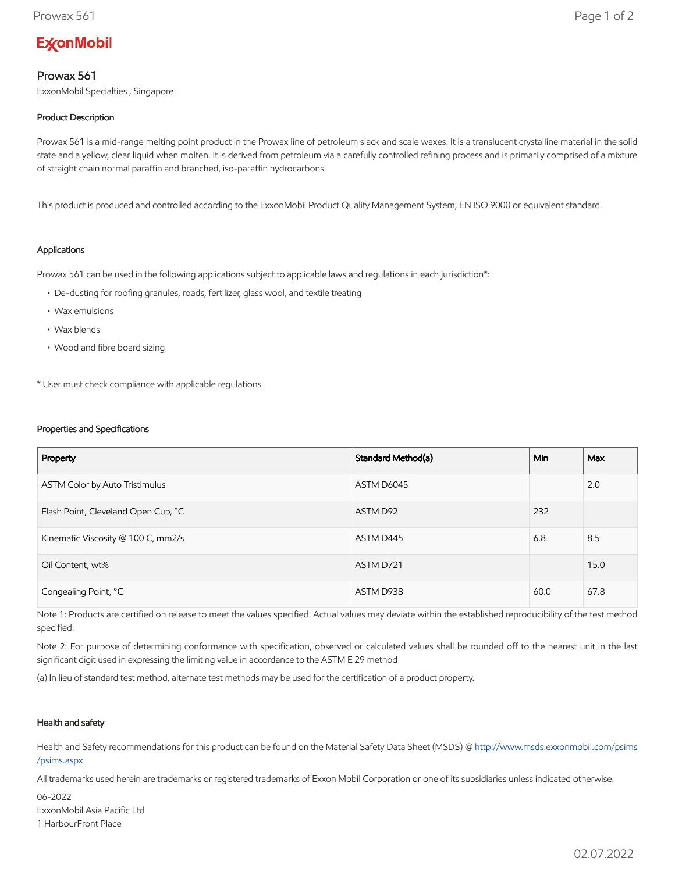# **ExconMobil**

## Prowax 561

ExxonMobil Specialties , Singapore

### Product Description

Prowax 561 is a mid-range melting point product in the Prowax line of petroleum slack and scale waxes. It is a translucent crystalline material in the solid state and a yellow, clear liquid when molten. It is derived from petroleum via a carefully controlled refining process and is primarily comprised of a mixture of straight chain normal paraffin and branched, iso-paraffin hydrocarbons.

This product is produced and controlled according to the ExxonMobil Product Quality Management System, EN ISO 9000 or equivalent standard.

#### Applications

Prowax 561 can be used in the following applications subject to applicable laws and regulations in each jurisdiction\*:

- De-dusting for roofing granules, roads, fertilizer, glass wool, and textile treating
- Wax emulsions
- Wax blends
- Wood and fibre board sizing

\* User must check compliance with applicable regulations

#### Properties and Specifications

| Property                            | Standard Method(a) | <b>Min</b> | Max  |
|-------------------------------------|--------------------|------------|------|
| ASTM Color by Auto Tristimulus      | ASTM D6045         |            | 2.0  |
| Flash Point, Cleveland Open Cup, °C | ASTM D92           | 232        |      |
| Kinematic Viscosity @ 100 C, mm2/s  | ASTM D445          | 6.8        | 8.5  |
| Oil Content, wt%                    | ASTM D721          |            | 15.0 |
| Congealing Point, °C                | ASTM D938          | 60.0       | 67.8 |

Note 1: Products are certified on release to meet the values specified. Actual values may deviate within the established reproducibility of the test method specified.

Note 2: For purpose of determining conformance with specification, observed or calculated values shall be rounded off to the nearest unit in the last significant digit used in expressing the limiting value in accordance to the ASTM E 29 method

(a) In lieu of standard test method, alternate test methods may be used for the certification of a product property.

#### Health and safety

Health and Safety recommendations for this product can be found on the Material Safety Data Sheet (MSDS) @ [http://www.msds.exxonmobil.com/psims](http://www.msds.exxonmobil.com/psims/psims.aspx) /psims.aspx

All trademarks used herein are trademarks or registered trademarks of Exxon Mobil Corporation or one of its subsidiaries unless indicated otherwise.

06-2022 ExxonMobil Asia Pacific Ltd 1 HarbourFront Place